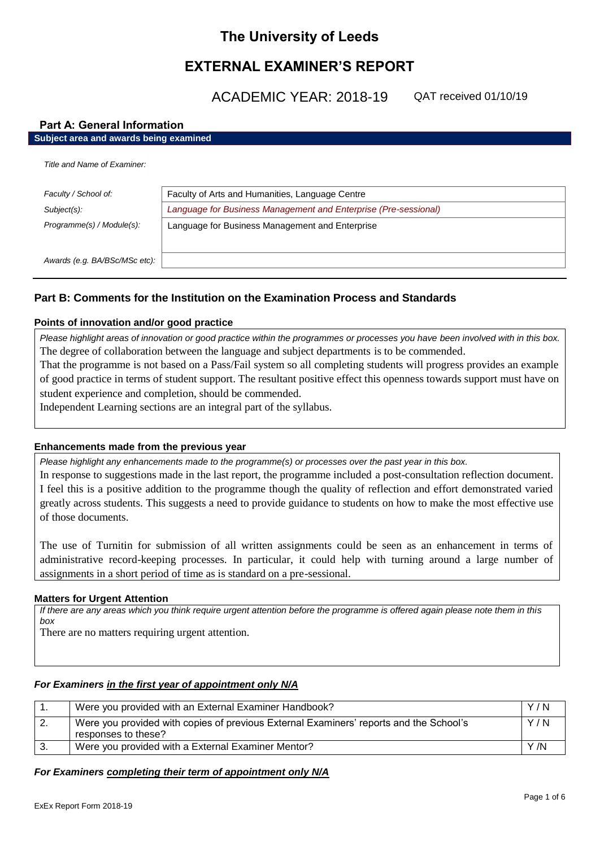# **The University of Leeds**

# **EXTERNAL EXAMINER'S REPORT**

ACADEMIC YEAR: 2018-19

QAT received 01/10/19

# **Part A: General Information**

### **Subject area and awards being examined**

*Title and Name of Examiner:*

| Faculty / School of:          | Faculty of Arts and Humanities, Language Centre                 |
|-------------------------------|-----------------------------------------------------------------|
| Subject(s):                   | Language for Business Management and Enterprise (Pre-sessional) |
| Programme(s) / Module(s):     | Language for Business Management and Enterprise                 |
| Awards (e.g. BA/BSc/MSc etc): |                                                                 |

# **Part B: Comments for the Institution on the Examination Process and Standards**

# **Points of innovation and/or good practice**

*Please highlight areas of innovation or good practice within the programmes or processes you have been involved with in this box.* The degree of collaboration between the language and subject departments is to be commended.

That the programme is not based on a Pass/Fail system so all completing students will progress provides an example of good practice in terms of student support. The resultant positive effect this openness towards support must have on student experience and completion, should be commended.

Independent Learning sections are an integral part of the syllabus.

# **Enhancements made from the previous year**

*Please highlight any enhancements made to the programme(s) or processes over the past year in this box.*

In response to suggestions made in the last report, the programme included a post-consultation reflection document. I feel this is a positive addition to the programme though the quality of reflection and effort demonstrated varied greatly across students. This suggests a need to provide guidance to students on how to make the most effective use of those documents.

The use of Turnitin for submission of all written assignments could be seen as an enhancement in terms of administrative record-keeping processes. In particular, it could help with turning around a large number of assignments in a short period of time as is standard on a pre-sessional.

### **Matters for Urgent Attention**

*If there are any areas which you think require urgent attention before the programme is offered again please note them in this box*

There are no matters requiring urgent attention.

# *For Examiners in the first year of appointment only N/A*

|    | Were you provided with an External Examiner Handbook?                                                         | Y/N  |
|----|---------------------------------------------------------------------------------------------------------------|------|
| z. | Were you provided with copies of previous External Examiners' reports and the School's<br>responses to these? | Y/N  |
|    | Were you provided with a External Examiner Mentor?                                                            | Y /N |

# *For Examiners completing their term of appointment only N/A*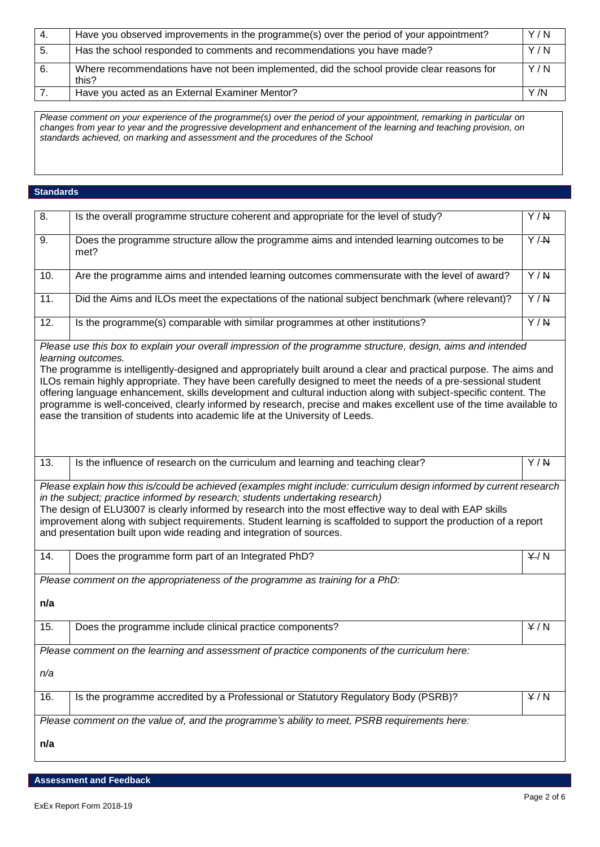| -4. | Have you observed improvements in the programme(s) over the period of your appointment?            | Y/N  |
|-----|----------------------------------------------------------------------------------------------------|------|
| -5. | Has the school responded to comments and recommendations you have made?                            | Y/N  |
| 6.  | Where recommendations have not been implemented, did the school provide clear reasons for<br>this? | Y/N  |
|     | Have you acted as an External Examiner Mentor?                                                     | Y /N |

*Please comment on your experience of the programme(s) over the period of your appointment, remarking in particular on changes from year to year and the progressive development and enhancement of the learning and teaching provision, on standards achieved, on marking and assessment and the procedures of the School*

### **Standards**

| 8.                                                                                                                                                                                                                                                                                                                                                                                                                                                                                                                                                                                                                                                                                                       | Is the overall programme structure coherent and appropriate for the level of study?                                                                                                                                                                                                                                                                                                                                                                                                                             | $\overline{Y/N}$ |
|----------------------------------------------------------------------------------------------------------------------------------------------------------------------------------------------------------------------------------------------------------------------------------------------------------------------------------------------------------------------------------------------------------------------------------------------------------------------------------------------------------------------------------------------------------------------------------------------------------------------------------------------------------------------------------------------------------|-----------------------------------------------------------------------------------------------------------------------------------------------------------------------------------------------------------------------------------------------------------------------------------------------------------------------------------------------------------------------------------------------------------------------------------------------------------------------------------------------------------------|------------------|
| 9.                                                                                                                                                                                                                                                                                                                                                                                                                                                                                                                                                                                                                                                                                                       | Does the programme structure allow the programme aims and intended learning outcomes to be<br>met?                                                                                                                                                                                                                                                                                                                                                                                                              | $\overline{Y/H}$ |
| 10.                                                                                                                                                                                                                                                                                                                                                                                                                                                                                                                                                                                                                                                                                                      | Are the programme aims and intended learning outcomes commensurate with the level of award?                                                                                                                                                                                                                                                                                                                                                                                                                     | Y/N              |
| 11.                                                                                                                                                                                                                                                                                                                                                                                                                                                                                                                                                                                                                                                                                                      | Did the Aims and ILOs meet the expectations of the national subject benchmark (where relevant)?                                                                                                                                                                                                                                                                                                                                                                                                                 | $\overline{Y/N}$ |
| 12.                                                                                                                                                                                                                                                                                                                                                                                                                                                                                                                                                                                                                                                                                                      | Is the programme(s) comparable with similar programmes at other institutions?                                                                                                                                                                                                                                                                                                                                                                                                                                   | $\overline{Y/N}$ |
| Please use this box to explain your overall impression of the programme structure, design, aims and intended<br>learning outcomes.<br>The programme is intelligently-designed and appropriately built around a clear and practical purpose. The aims and<br>ILOs remain highly appropriate. They have been carefully designed to meet the needs of a pre-sessional student<br>offering language enhancement, skills development and cultural induction along with subject-specific content. The<br>programme is well-conceived, clearly informed by research, precise and makes excellent use of the time available to<br>ease the transition of students into academic life at the University of Leeds. |                                                                                                                                                                                                                                                                                                                                                                                                                                                                                                                 |                  |
| 13.                                                                                                                                                                                                                                                                                                                                                                                                                                                                                                                                                                                                                                                                                                      | Is the influence of research on the curriculum and learning and teaching clear?                                                                                                                                                                                                                                                                                                                                                                                                                                 | Y/N              |
|                                                                                                                                                                                                                                                                                                                                                                                                                                                                                                                                                                                                                                                                                                          | Please explain how this is/could be achieved (examples might include: curriculum design informed by current research<br>in the subject; practice informed by research; students undertaking research)<br>The design of ELU3007 is clearly informed by research into the most effective way to deal with EAP skills<br>improvement along with subject requirements. Student learning is scaffolded to support the production of a report<br>and presentation built upon wide reading and integration of sources. |                  |
| 14.                                                                                                                                                                                                                                                                                                                                                                                                                                                                                                                                                                                                                                                                                                      | Does the programme form part of an Integrated PhD?                                                                                                                                                                                                                                                                                                                                                                                                                                                              | Y/N              |
| n/a                                                                                                                                                                                                                                                                                                                                                                                                                                                                                                                                                                                                                                                                                                      | Please comment on the appropriateness of the programme as training for a PhD:                                                                                                                                                                                                                                                                                                                                                                                                                                   |                  |
| 15.                                                                                                                                                                                                                                                                                                                                                                                                                                                                                                                                                                                                                                                                                                      | Does the programme include clinical practice components?                                                                                                                                                                                                                                                                                                                                                                                                                                                        | Y/N              |
|                                                                                                                                                                                                                                                                                                                                                                                                                                                                                                                                                                                                                                                                                                          | Please comment on the learning and assessment of practice components of the curriculum here:                                                                                                                                                                                                                                                                                                                                                                                                                    |                  |
| n/a                                                                                                                                                                                                                                                                                                                                                                                                                                                                                                                                                                                                                                                                                                      |                                                                                                                                                                                                                                                                                                                                                                                                                                                                                                                 |                  |
| 16.                                                                                                                                                                                                                                                                                                                                                                                                                                                                                                                                                                                                                                                                                                      | Is the programme accredited by a Professional or Statutory Regulatory Body (PSRB)?                                                                                                                                                                                                                                                                                                                                                                                                                              | Y/N              |
|                                                                                                                                                                                                                                                                                                                                                                                                                                                                                                                                                                                                                                                                                                          | Please comment on the value of, and the programme's ability to meet, PSRB requirements here:                                                                                                                                                                                                                                                                                                                                                                                                                    |                  |
| n/a                                                                                                                                                                                                                                                                                                                                                                                                                                                                                                                                                                                                                                                                                                      |                                                                                                                                                                                                                                                                                                                                                                                                                                                                                                                 |                  |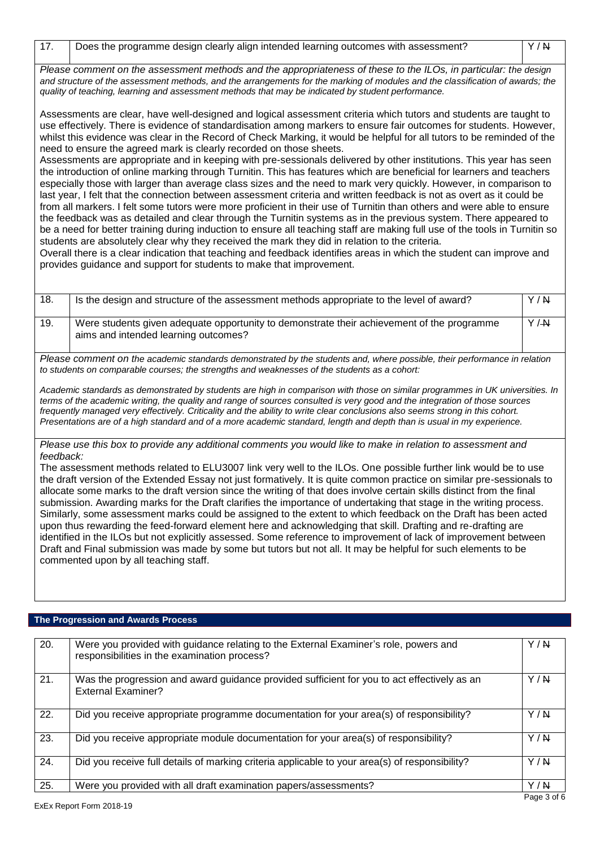| Please comment on the assessment methods and the appropriateness of these to the ILOs, in particular: the design               |  |
|--------------------------------------------------------------------------------------------------------------------------------|--|
| and structure of the assessment methods, and the arrangements for the marking of modules and the classification of awards; the |  |
| guality of teaching, learning and assessment methods that may be indicated by student performance.                             |  |

Assessments are clear, have well-designed and logical assessment criteria which tutors and students are taught to use effectively. There is evidence of standardisation among markers to ensure fair outcomes for students. However, whilst this evidence was clear in the Record of Check Marking, it would be helpful for all tutors to be reminded of the need to ensure the agreed mark is clearly recorded on those sheets.

Assessments are appropriate and in keeping with pre-sessionals delivered by other institutions. This year has seen the introduction of online marking through Turnitin. This has features which are beneficial for learners and teachers especially those with larger than average class sizes and the need to mark very quickly. However, in comparison to last year, I felt that the connection between assessment criteria and written feedback is not as overt as it could be from all markers. I felt some tutors were more proficient in their use of Turnitin than others and were able to ensure the feedback was as detailed and clear through the Turnitin systems as in the previous system. There appeared to be a need for better training during induction to ensure all teaching staff are making full use of the tools in Turnitin so students are absolutely clear why they received the mark they did in relation to the criteria.

Overall there is a clear indication that teaching and feedback identifies areas in which the student can improve and provides guidance and support for students to make that improvement.

| 18. | Is the design and structure of the assessment methods appropriate to the level of award?                                           | Y/N |
|-----|------------------------------------------------------------------------------------------------------------------------------------|-----|
| 19. | Were students given adequate opportunity to demonstrate their achievement of the programme<br>aims and intended learning outcomes? | Y/M |

*Please comment on the academic standards demonstrated by the students and, where possible, their performance in relation to students on comparable courses; the strengths and weaknesses of the students as a cohort:*

*Academic standards as demonstrated by students are high in comparison with those on similar programmes in UK universities. In terms of the academic writing, the quality and range of sources consulted is very good and the integration of those sources frequently managed very effectively. Criticality and the ability to write clear conclusions also seems strong in this cohort. Presentations are of a high standard and of a more academic standard, length and depth than is usual in my experience.*

*Please use this box to provide any additional comments you would like to make in relation to assessment and feedback:*

The assessment methods related to ELU3007 link very well to the ILOs. One possible further link would be to use the draft version of the Extended Essay not just formatively. It is quite common practice on similar pre-sessionals to allocate some marks to the draft version since the writing of that does involve certain skills distinct from the final submission. Awarding marks for the Draft clarifies the importance of undertaking that stage in the writing process. Similarly, some assessment marks could be assigned to the extent to which feedback on the Draft has been acted upon thus rewarding the feed-forward element here and acknowledging that skill. Drafting and re-drafting are identified in the ILOs but not explicitly assessed. Some reference to improvement of lack of improvement between Draft and Final submission was made by some but tutors but not all. It may be helpful for such elements to be commented upon by all teaching staff.

# **The Progression and Awards Process**

| 20. | Were you provided with guidance relating to the External Examiner's role, powers and<br>responsibilities in the examination process? | Y/N |
|-----|--------------------------------------------------------------------------------------------------------------------------------------|-----|
| 21. | Was the progression and award guidance provided sufficient for you to act effectively as an<br><b>External Examiner?</b>             | Y/N |
| 22. | Did you receive appropriate programme documentation for your area(s) of responsibility?                                              | Y/N |
| 23. | Did you receive appropriate module documentation for your area(s) of responsibility?                                                 | Y/N |
| 24. | Did you receive full details of marking criteria applicable to your area(s) of responsibility?                                       | Y/N |
| 25. | Were you provided with all draft examination papers/assessments?                                                                     | Y/N |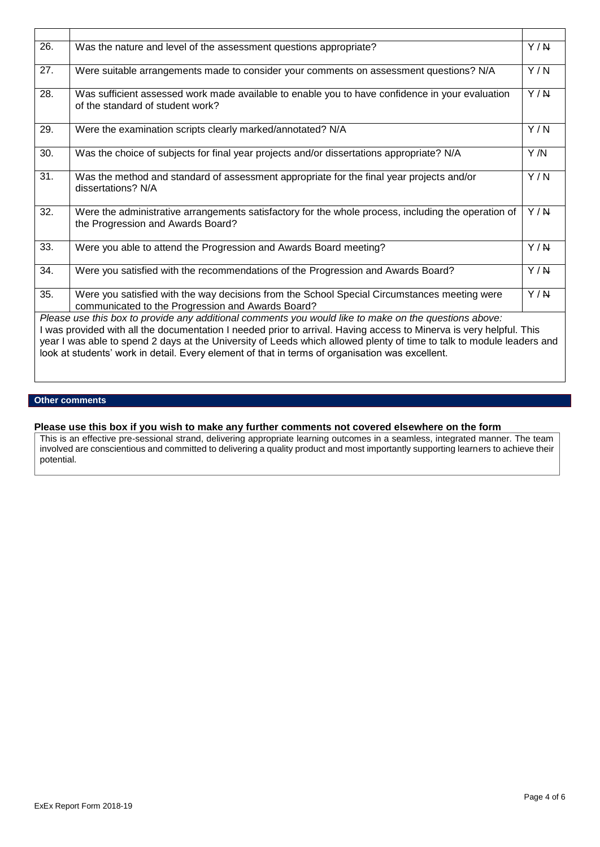| 26.                                                                                                   | Was the nature and level of the assessment questions appropriate?                                                                                 | Y/N              |
|-------------------------------------------------------------------------------------------------------|---------------------------------------------------------------------------------------------------------------------------------------------------|------------------|
| 27.                                                                                                   | Were suitable arrangements made to consider your comments on assessment questions? N/A                                                            | Y/N              |
| 28.                                                                                                   | Was sufficient assessed work made available to enable you to have confidence in your evaluation<br>of the standard of student work?               | $\overline{Y/N}$ |
| 29.                                                                                                   | Were the examination scripts clearly marked/annotated? N/A                                                                                        | Y/N              |
| 30.                                                                                                   | Was the choice of subjects for final year projects and/or dissertations appropriate? N/A                                                          | Y/N              |
| 31.                                                                                                   | Was the method and standard of assessment appropriate for the final year projects and/or<br>dissertations? N/A                                    | Y/N              |
| 32.                                                                                                   | Were the administrative arrangements satisfactory for the whole process, including the operation of<br>the Progression and Awards Board?          | Y/N              |
| 33.                                                                                                   | Were you able to attend the Progression and Awards Board meeting?                                                                                 | Y/N              |
| 34.                                                                                                   | Were you satisfied with the recommendations of the Progression and Awards Board?                                                                  | Y/N              |
| 35.                                                                                                   | Were you satisfied with the way decisions from the School Special Circumstances meeting were<br>communicated to the Progression and Awards Board? | Y/N              |
| Please use this box to provide any additional comments you would like to make on the questions above: |                                                                                                                                                   |                  |
|                                                                                                       | I was provided with all the documentation I needed prior to arrival. Having access to Minerva is very helpful. This                               |                  |
|                                                                                                       | year I was able to spend 2 days at the University of Leeds which allowed plenty of time to talk to module leaders and                             |                  |
|                                                                                                       | look at students' work in detail. Every element of that in terms of organisation was excellent.                                                   |                  |

# **Other comments**

### **Please use this box if you wish to make any further comments not covered elsewhere on the form**

This is an effective pre-sessional strand, delivering appropriate learning outcomes in a seamless, integrated manner. The team involved are conscientious and committed to delivering a quality product and most importantly supporting learners to achieve their potential.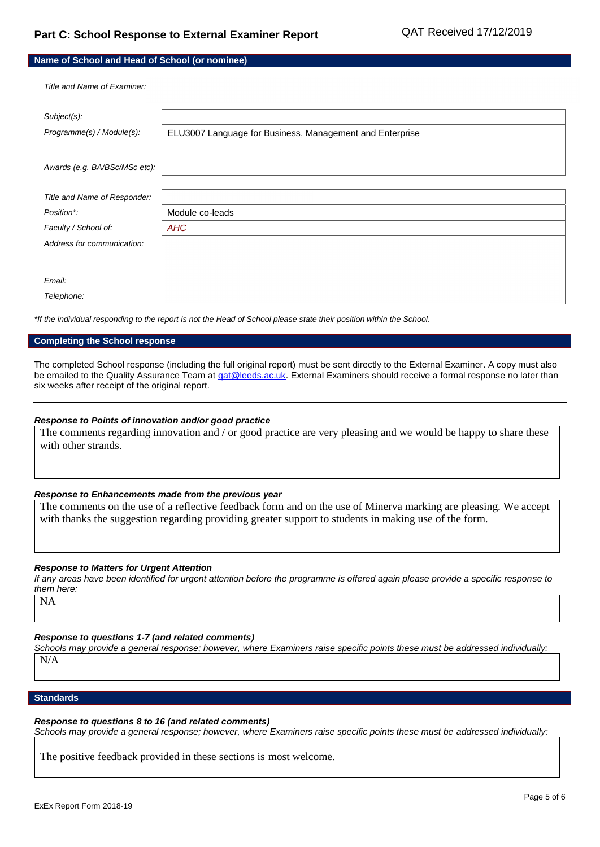| Name of School and Head of School (or nominee) |                                                          |  |
|------------------------------------------------|----------------------------------------------------------|--|
| Title and Name of Examiner.                    |                                                          |  |
| Subject(s):                                    |                                                          |  |
| Programme(s) / Module(s):                      | ELU3007 Language for Business, Management and Enterprise |  |
|                                                |                                                          |  |
| Awards (e.g. BA/BSc/MSc etc):                  |                                                          |  |
|                                                |                                                          |  |
| Title and Name of Responder:                   |                                                          |  |
| Position*:                                     | Module co-leads                                          |  |
| Faculty / School of:                           | <b>AHC</b>                                               |  |
| Address for communication:                     |                                                          |  |
|                                                |                                                          |  |
| Email:                                         |                                                          |  |

*Telephone:*

*\*If the individual responding to the report is not the Head of School please state their position within the School.*

#### **Completing the School response**

The completed School response (including the full original report) must be sent directly to the External Examiner. A copy must also be emailed to the Quality Assurance Team at *qat@leeds.ac.uk*. External Examiners should receive a formal response no later than six weeks after receipt of the original report.

#### *Response to Points of innovation and/or good practice*

The comments regarding innovation and / or good practice are very pleasing and we would be happy to share these with other strands.

#### *Response to Enhancements made from the previous year*

The comments on the use of a reflective feedback form and on the use of Minerva marking are pleasing. We accept with thanks the suggestion regarding providing greater support to students in making use of the form.

#### *Response to Matters for Urgent Attention*

*If any areas have been identified for urgent attention before the programme is offered again please provide a specific response to them here:*

NA

*Response to questions 1-7 (and related comments)*

*Schools may provide a general response; however, where Examiners raise specific points these must be addressed individually:* N/A

#### **Standards**

*Response to questions 8 to 16 (and related comments) Schools may provide a general response; however, where Examiners raise specific points these must be addressed individually:*

The positive feedback provided in these sections is most welcome.